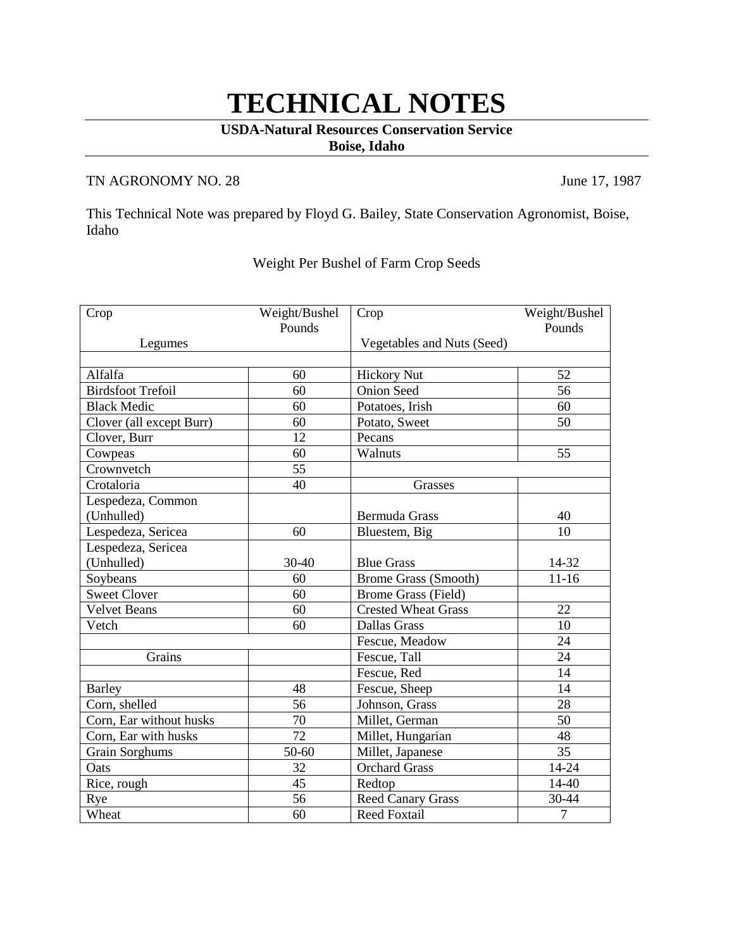## **TECHNICAL NOTES**

## **USDA-Natural Resources Conservation Service Boise, Idaho**

## TN AGRONOMY NO. 28 June 17, 1987

This Technical Note was prepared by Floyd G. Bailey, State Conservation Agronomist, Boise, Idaho

## Weight Per Bushel of Farm Crop Seeds

| Crop                     | Weight/Bushel | Crop                        | Weight/Bushel  |
|--------------------------|---------------|-----------------------------|----------------|
|                          | Pounds        |                             | Pounds         |
| Legumes                  |               | Vegetables and Nuts (Seed)  |                |
|                          |               |                             |                |
| Alfalfa                  | 60            | <b>Hickory Nut</b>          | 52             |
| <b>Birdsfoot Trefoil</b> | 60            | <b>Onion Seed</b>           | 56             |
| <b>Black Medic</b>       | 60            | Potatoes, Irish             | 60             |
| Clover (all except Burr) | 60            | Potato, Sweet               | 50             |
| Clover, Burr             | 12            | Pecans                      |                |
| Cowpeas                  | 60            | Walnuts                     | 55             |
| Crownvetch               | 55            |                             |                |
| Crotaloria               | 40            | Grasses                     |                |
| Lespedeza, Common        |               |                             |                |
| (Unhulled)               |               | <b>Bermuda Grass</b>        | 40             |
| Lespedeza, Sericea       | 60            | Bluestem, Big               | 10             |
| Lespedeza, Sericea       |               |                             |                |
| (Unhulled)               | 30-40         | <b>Blue Grass</b>           | 14-32          |
| Soybeans                 | 60            | <b>Brome Grass (Smooth)</b> | $11 - 16$      |
| <b>Sweet Clover</b>      | 60            | Brome Grass (Field)         |                |
| <b>Velvet Beans</b>      | 60            | <b>Crested Wheat Grass</b>  | 22             |
| Vetch                    | 60            | Dallas Grass                | 10             |
|                          |               | Fescue, Meadow              | 24             |
| Grains                   |               | Fescue, Tall                | 24             |
|                          |               | Fescue, Red                 | 14             |
| <b>Barley</b>            | 48            | Fescue, Sheep               | 14             |
| Corn, shelled            | 56            | Johnson, Grass              | 28             |
| Corn, Ear without husks  | 70            | Millet, German              | 50             |
| Corn, Ear with husks     | 72            | Millet, Hungarian           | 48             |
| Grain Sorghums           | 50-60         | Millet, Japanese            | 35             |
| Oats                     | 32            | <b>Orchard Grass</b>        | 14-24          |
| Rice, rough              | 45            | Redtop                      | 14-40          |
| Rye                      | 56            | Reed Canary Grass           | 30-44          |
| Wheat                    | 60            | <b>Reed Foxtail</b>         | $\overline{7}$ |